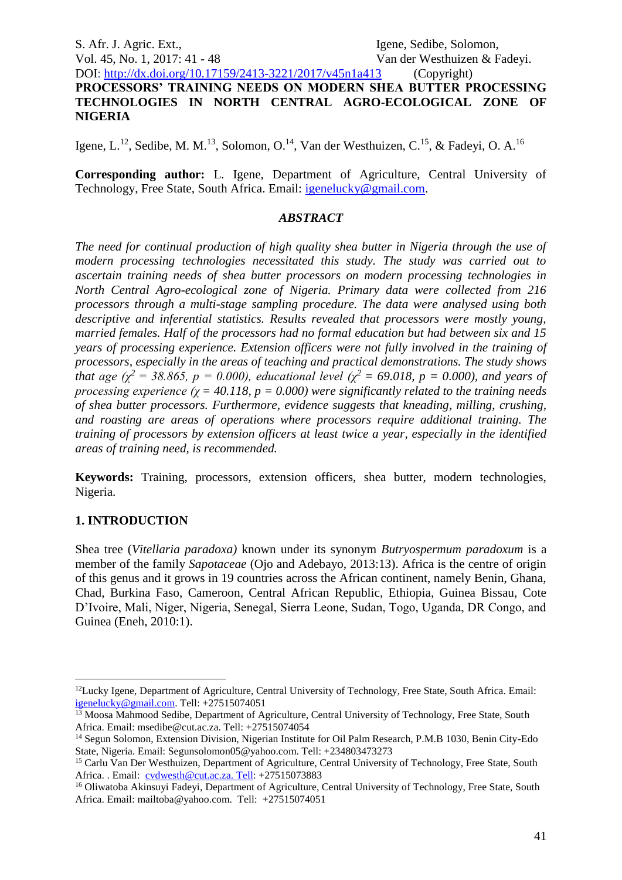S. Afr. J. Agric. Ext., Igene, Sedibe, Solomon, Vol. 45, No. 1, 2017: 41 - 48 Van der Westhuizen & Fadeyi.

DOI:<http://dx.doi.org/10.17159/2413-3221/2017/v45n1a413> (Copyright) **PROCESSORS' TRAINING NEEDS ON MODERN SHEA BUTTER PROCESSING TECHNOLOGIES IN NORTH CENTRAL AGRO-ECOLOGICAL ZONE OF NIGERIA**

Igene, L.<sup>12</sup>, Sedibe, M. M.<sup>13</sup>, Solomon, O.<sup>14</sup>, Van der Westhuizen, C.<sup>15</sup>, & Fadeyi, O. A.<sup>16</sup>

**Corresponding author:** L. Igene, Department of Agriculture, Central University of Technology, Free State, South Africa. Email: [igenelucky@gmail.com.](mailto:igenelucky@gmail.com)

#### *ABSTRACT*

*The need for continual production of high quality shea butter in Nigeria through the use of modern processing technologies necessitated this study. The study was carried out to ascertain training needs of shea butter processors on modern processing technologies in North Central Agro-ecological zone of Nigeria. Primary data were collected from 216 processors through a multi-stage sampling procedure. The data were analysed using both descriptive and inferential statistics. Results revealed that processors were mostly young, married females. Half of the processors had no formal education but had between six and 15 years of processing experience. Extension officers were not fully involved in the training of processors, especially in the areas of teaching and practical demonstrations. The study shows that age (χ*<sup>2</sup> = 38.865,  $p = 0.000$ ), educational level ( $\chi$ <sup>2</sup> = 69.018,  $p = 0.000$ ), and years of *processing experience (χ = 40.118, p = 0.000) were significantly related to the training needs of shea butter processors. Furthermore, evidence suggests that kneading, milling, crushing, and roasting are areas of operations where processors require additional training. The training of processors by extension officers at least twice a year, especially in the identified areas of training need, is recommended.*

**Keywords:** Training, processors, extension officers, shea butter, modern technologies, Nigeria.

#### **1. INTRODUCTION**

1

Shea tree (*Vitellaria paradoxa)* known under its synonym *Butryospermum paradoxum* is a member of the family *Sapotaceae* (Ojo and Adebayo, 2013:13). Africa is the centre of origin of this genus and it grows in 19 countries across the African continent, namely Benin, Ghana, Chad, Burkina Faso, Cameroon, Central African Republic, Ethiopia, Guinea Bissau, Cote D'Ivoire, Mali, Niger, Nigeria, Senegal, Sierra Leone, Sudan, Togo, Uganda, DR Congo, and Guinea (Eneh, 2010:1).

<sup>&</sup>lt;sup>12</sup>Lucky Igene, Department of Agriculture, Central University of Technology, Free State, South Africa. Email: [igenelucky@gmail.com.](mailto:igenelucky@gmail.com) Tell: +27515074051

<sup>&</sup>lt;sup>13</sup> Moosa Mahmood Sedibe, Department of Agriculture, Central University of Technology, Free State, South Africa. Email: msedibe@cut.ac.za. Tell: +27515074054

<sup>14</sup> Segun Solomon, Extension Division, Nigerian Institute for Oil Palm Research, P.M.B 1030, Benin City-Edo State, Nigeria. Email: Segunsolomon05@yahoo.com. Tell: +234803473273

<sup>15</sup> Carlu Van Der Westhuizen, Department of Agriculture, Central University of Technology, Free State, South Africa. . Email: [cvdwesth@cut.ac.za. Tell:](mailto:cvdwesth@cut.ac.za.%20Tell) +27515073883

<sup>&</sup>lt;sup>16</sup> Oliwatoba Akinsuyi Fadeyi, Department of Agriculture, Central University of Technology, Free State, South Africa. Email: mailtoba@yahoo.com. Tell: +27515074051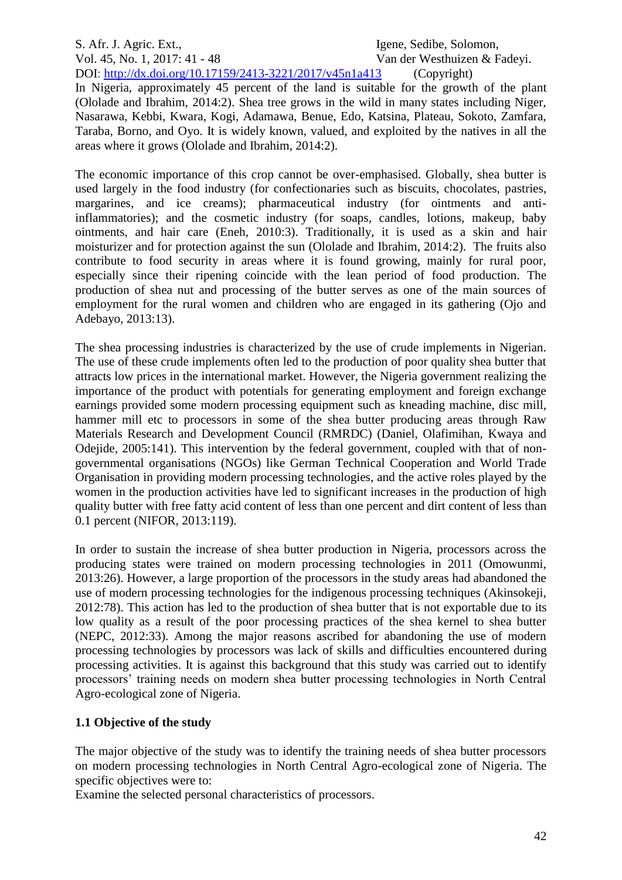## S. Afr. J. Agric. Ext., Igene, Sedibe, Solomon,

Vol. 45, No. 1, 2017: 41 - 48 Van der Westhuizen & Fadeyi.

DOI:<http://dx.doi.org/10.17159/2413-3221/2017/v45n1a413> (Copyright) In Nigeria, approximately 45 percent of the land is suitable for the growth of the plant (Ololade and Ibrahim, 2014:2). Shea tree grows in the wild in many states including Niger, Nasarawa, Kebbi, Kwara, Kogi, Adamawa, Benue, Edo, Katsina, Plateau, Sokoto, Zamfara, Taraba, Borno, and Oyo. It is widely known, valued, and exploited by the natives in all the areas where it grows (Ololade and Ibrahim, 2014:2).

The economic importance of this crop cannot be over-emphasised. Globally, shea butter is used largely in the food industry (for confectionaries such as biscuits, chocolates, pastries, margarines, and ice creams); pharmaceutical industry (for ointments and antiinflammatories); and the cosmetic industry (for soaps, candles, lotions, makeup, baby ointments, and hair care (Eneh, 2010:3). Traditionally, it is used as a skin and hair moisturizer and for protection against the sun (Ololade and Ibrahim, 2014:2). The fruits also contribute to food security in areas where it is found growing, mainly for rural poor, especially since their ripening coincide with the lean period of food production. The production of shea nut and processing of the butter serves as one of the main sources of employment for the rural women and children who are engaged in its gathering (Ojo and Adebayo, 2013:13).

The shea processing industries is characterized by the use of crude implements in Nigerian. The use of these crude implements often led to the production of poor quality shea butter that attracts low prices in the international market. However, the Nigeria government realizing the importance of the product with potentials for generating employment and foreign exchange earnings provided some modern processing equipment such as kneading machine, disc mill, hammer mill etc to processors in some of the shea butter producing areas through Raw Materials Research and Development Council (RMRDC) (Daniel, Olafimihan, Kwaya and Odejide*,* 2005:141). This intervention by the federal government, coupled with that of nongovernmental organisations (NGOs) like German Technical Cooperation and World Trade Organisation in providing modern processing technologies, and the active roles played by the women in the production activities have led to significant increases in the production of high quality butter with free fatty acid content of less than one percent and dirt content of less than 0.1 percent (NIFOR, 2013:119).

In order to sustain the increase of shea butter production in Nigeria, processors across the producing states were trained on modern processing technologies in 2011 (Omowunmi, 2013:26). However, a large proportion of the processors in the study areas had abandoned the use of modern processing technologies for the indigenous processing techniques (Akinsokeji, 2012:78). This action has led to the production of shea butter that is not exportable due to its low quality as a result of the poor processing practices of the shea kernel to shea butter (NEPC, 2012:33). Among the major reasons ascribed for abandoning the use of modern processing technologies by processors was lack of skills and difficulties encountered during processing activities. It is against this background that this study was carried out to identify processors' training needs on modern shea butter processing technologies in North Central Agro-ecological zone of Nigeria.

#### **1.1 Objective of the study**

The major objective of the study was to identify the training needs of shea butter processors on modern processing technologies in North Central Agro-ecological zone of Nigeria. The specific objectives were to:

Examine the selected personal characteristics of processors.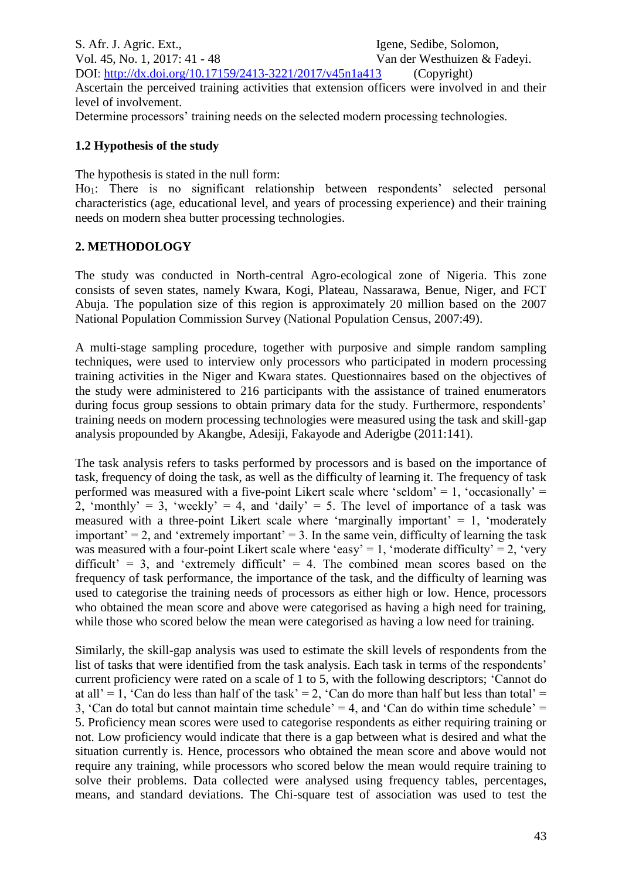S. Afr. J. Agric. Ext., Igene, Sedibe, Solomon, Vol. 45, No. 1, 2017: 41 - 48 Van der Westhuizen & Fadeyi. DOI:<http://dx.doi.org/10.17159/2413-3221/2017/v45n1a413> (Copyright) Ascertain the perceived training activities that extension officers were involved in and their level of involvement. Determine processors' training needs on the selected modern processing technologies.

#### **1.2 Hypothesis of the study**

The hypothesis is stated in the null form:

Ho1: There is no significant relationship between respondents' selected personal characteristics (age, educational level, and years of processing experience) and their training needs on modern shea butter processing technologies.

### **2. METHODOLOGY**

The study was conducted in North-central Agro-ecological zone of Nigeria. This zone consists of seven states, namely Kwara, Kogi, Plateau, Nassarawa, Benue, Niger, and FCT Abuja. The population size of this region is approximately 20 million based on the 2007 National Population Commission Survey (National Population Census, 2007:49).

A multi-stage sampling procedure, together with purposive and simple random sampling techniques, were used to interview only processors who participated in modern processing training activities in the Niger and Kwara states. Questionnaires based on the objectives of the study were administered to 216 participants with the assistance of trained enumerators during focus group sessions to obtain primary data for the study. Furthermore, respondents' training needs on modern processing technologies were measured using the task and skill-gap analysis propounded by Akangbe, Adesiji, Fakayode and Aderigbe (2011:141).

The task analysis refers to tasks performed by processors and is based on the importance of task, frequency of doing the task, as well as the difficulty of learning it. The frequency of task performed was measured with a five-point Likert scale where 'seldom' = 1, 'occasionally' = 2, 'monthly' = 3, 'weekly' = 4, and 'daily' = 5. The level of importance of a task was measured with a three-point Likert scale where 'marginally important'  $= 1$ , 'moderately important' = 2, and 'extremely important' = 3. In the same vein, difficulty of learning the task was measured with a four-point Likert scale where 'easy' = 1, 'moderate difficulty' = 2, 'very difficult' = 3, and 'extremely difficult' = 4. The combined mean scores based on the frequency of task performance, the importance of the task, and the difficulty of learning was used to categorise the training needs of processors as either high or low. Hence, processors who obtained the mean score and above were categorised as having a high need for training, while those who scored below the mean were categorised as having a low need for training.

Similarly, the skill-gap analysis was used to estimate the skill levels of respondents from the list of tasks that were identified from the task analysis. Each task in terms of the respondents' current proficiency were rated on a scale of 1 to 5, with the following descriptors; 'Cannot do at all' = 1, 'Can do less than half of the task' = 2, 'Can do more than half but less than total' = 3, 'Can do total but cannot maintain time schedule' = 4, and 'Can do within time schedule' = 5. Proficiency mean scores were used to categorise respondents as either requiring training or not. Low proficiency would indicate that there is a gap between what is desired and what the situation currently is. Hence, processors who obtained the mean score and above would not require any training, while processors who scored below the mean would require training to solve their problems. Data collected were analysed using frequency tables, percentages, means, and standard deviations. The Chi-square test of association was used to test the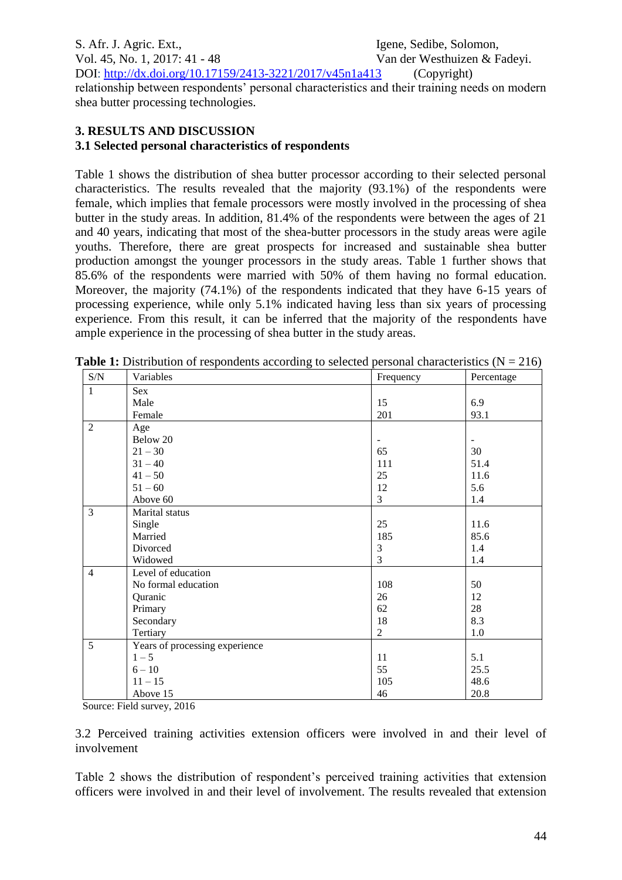S. Afr. J. Agric. Ext., Igene, Sedibe, Solomon, Vol. 45, No. 1, 2017: 41 - 48 Van der Westhuizen & Fadeyi. DOI:<http://dx.doi.org/10.17159/2413-3221/2017/v45n1a413> (Copyright) relationship between respondents' personal characteristics and their training needs on modern shea butter processing technologies.

## **3. RESULTS AND DISCUSSION**

### **3.1 Selected personal characteristics of respondents**

Table 1 shows the distribution of shea butter processor according to their selected personal characteristics. The results revealed that the majority (93.1%) of the respondents were female, which implies that female processors were mostly involved in the processing of shea butter in the study areas. In addition, 81.4% of the respondents were between the ages of 21 and 40 years, indicating that most of the shea-butter processors in the study areas were agile youths. Therefore, there are great prospects for increased and sustainable shea butter production amongst the younger processors in the study areas. Table 1 further shows that 85.6% of the respondents were married with 50% of them having no formal education. Moreover, the majority (74.1%) of the respondents indicated that they have 6-15 years of processing experience, while only 5.1% indicated having less than six years of processing experience. From this result, it can be inferred that the majority of the respondents have ample experience in the processing of shea butter in the study areas.

| S/N            | Variables                      | Frequency      | Percentage |
|----------------|--------------------------------|----------------|------------|
| $\mathbf{1}$   | Sex                            |                |            |
|                | Male                           | 15             | 6.9        |
|                | Female                         | 201            | 93.1       |
| $\overline{2}$ | Age                            |                |            |
|                | Below 20                       |                |            |
|                | $21 - 30$                      | 65             | 30         |
|                | $31 - 40$                      | 111            | 51.4       |
|                | $41 - 50$                      | 25             | 11.6       |
|                | $51 - 60$                      | 12             | 5.6        |
|                | Above 60                       | 3              | 1.4        |
| $\overline{3}$ | Marital status                 |                |            |
|                | Single                         | 25             | 11.6       |
|                | Married                        | 185            | 85.6       |
|                | Divorced                       | 3              | 1.4        |
|                | Widowed                        | 3              | 1.4        |
| $\overline{4}$ | Level of education             |                |            |
|                | No formal education            | 108            | 50         |
|                | Quranic                        | 26             | 12         |
|                | Primary                        | 62             | 28         |
|                | Secondary                      | 18             | 8.3        |
|                | Tertiary                       | $\overline{2}$ | 1.0        |
| 5              | Years of processing experience |                |            |
|                | $1 - 5$                        | 11             | 5.1        |
|                | $6 - 10$                       | 55             | 25.5       |
|                | $11 - 15$                      | 105            | 48.6       |
|                | Above 15                       | 46             | 20.8       |

**Table 1:** Distribution of respondents according to selected personal characteristics  $(N = 216)$ 

Source: Field survey, 2016

3.2 Perceived training activities extension officers were involved in and their level of involvement

Table 2 shows the distribution of respondent's perceived training activities that extension officers were involved in and their level of involvement. The results revealed that extension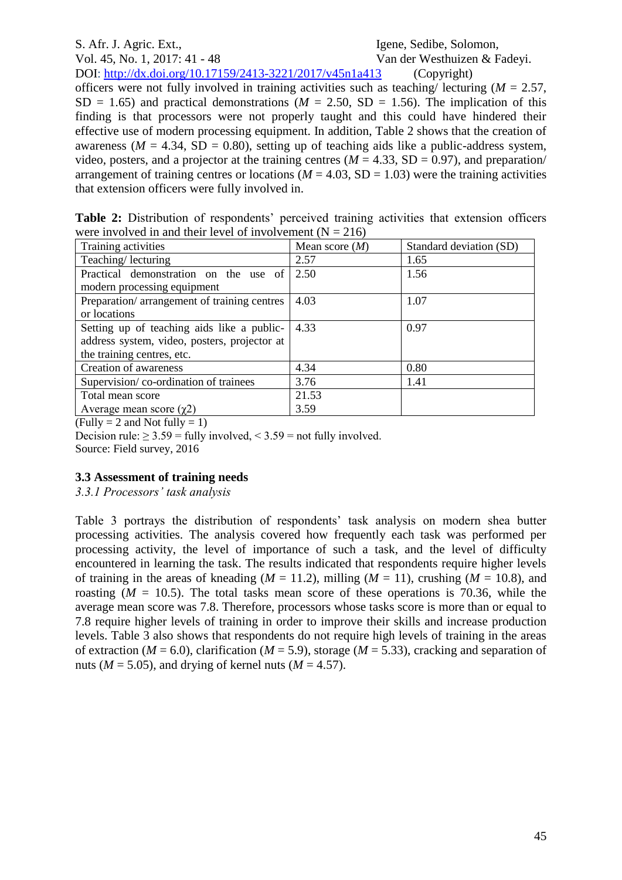S. Afr. J. Agric. Ext., Igene, Sedibe, Solomon, Vol. 45, No. 1, 2017: 41 - 48 Van der Westhuizen & Fadeyi.

DOI:<http://dx.doi.org/10.17159/2413-3221/2017/v45n1a413> (Copyright) officers were not fully involved in training activities such as teaching/ lecturing  $(M = 2.57)$ .  $SD = 1.65$ ) and practical demonstrations ( $M = 2.50$ ,  $SD = 1.56$ ). The implication of this finding is that processors were not properly taught and this could have hindered their effective use of modern processing equipment. In addition, Table 2 shows that the creation of awareness ( $M = 4.34$ , SD = 0.80), setting up of teaching aids like a public-address system, video, posters, and a projector at the training centres  $(M = 4.33, SD = 0.97)$ , and preparation/ arrangement of training centres or locations ( $M = 4.03$ , SD = 1.03) were the training activities that extension officers were fully involved in.

|  | Table 2: Distribution of respondents' perceived training activities that extension officers |  |  |  |
|--|---------------------------------------------------------------------------------------------|--|--|--|
|  | were involved in and their level of involvement $(N = 216)$                                 |  |  |  |

| Training activities                          | Mean score $(M)$ | Standard deviation (SD) |
|----------------------------------------------|------------------|-------------------------|
| Teaching/lecturing                           | 2.57             | 1.65                    |
| Practical demonstration on the use of        | 2.50             | 1.56                    |
| modern processing equipment                  |                  |                         |
| Preparation/arrangement of training centres  | 4.03             | 1.07                    |
| or locations                                 |                  |                         |
| Setting up of teaching aids like a public-   | 4.33             | 0.97                    |
| address system, video, posters, projector at |                  |                         |
| the training centres, etc.                   |                  |                         |
| Creation of awareness                        | 4.34             | 0.80                    |
| Supervision/co-ordination of trainees        | 3.76             | 1.41                    |
| Total mean score                             | 21.53            |                         |
| Average mean score $(\gamma 2)$              | 3.59             |                         |

 $(Fully = 2 and Not fully = 1)$ 

Decision rule:  $\geq 3.59$  = fully involved, < 3.59 = not fully involved.

Source: Field survey, 2016

#### **3.3 Assessment of training needs**

#### *3.3.1 Processors' task analysis*

Table 3 portrays the distribution of respondents' task analysis on modern shea butter processing activities. The analysis covered how frequently each task was performed per processing activity, the level of importance of such a task, and the level of difficulty encountered in learning the task. The results indicated that respondents require higher levels of training in the areas of kneading ( $M = 11.2$ ), milling ( $M = 11$ ), crushing ( $M = 10.8$ ), and roasting  $(M = 10.5)$ . The total tasks mean score of these operations is 70.36, while the average mean score was 7.8. Therefore, processors whose tasks score is more than or equal to 7.8 require higher levels of training in order to improve their skills and increase production levels. Table 3 also shows that respondents do not require high levels of training in the areas of extraction ( $M = 6.0$ ), clarification ( $M = 5.9$ ), storage ( $M = 5.33$ ), cracking and separation of nuts ( $M = 5.05$ ), and drying of kernel nuts ( $M = 4.57$ ).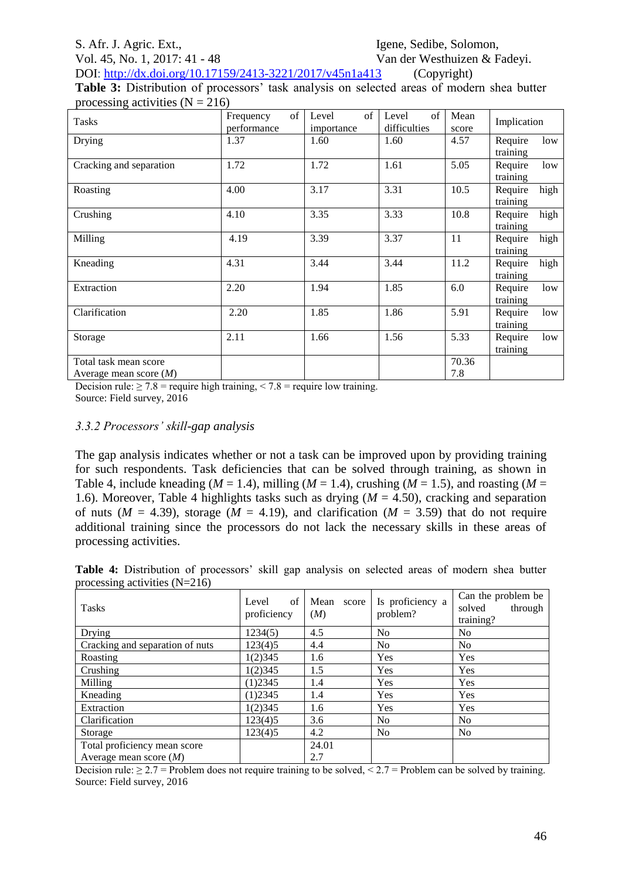#### S. Afr. J. Agric. Ext., Igene, Sedibe, Solomon,

Vol. 45, No. 1, 2017: 41 - 48 Van der Westhuizen & Fadeyi.

DOI:<http://dx.doi.org/10.17159/2413-3221/2017/v45n1a413> (Copyright) **Table 3:** Distribution of processors' task analysis on selected areas of modern shea butter processing activities  $(N = 216)$ 

| $\sim$                                            |                                |                           |                             |               |                             |
|---------------------------------------------------|--------------------------------|---------------------------|-----------------------------|---------------|-----------------------------|
| <b>Tasks</b>                                      | of<br>Frequency<br>performance | of<br>Level<br>importance | of<br>Level<br>difficulties | Mean<br>score | Implication                 |
| Drying                                            | 1.37                           | 1.60                      | 1.60                        | 4.57          | Require<br>low<br>training  |
| Cracking and separation                           | 1.72                           | 1.72                      | 1.61                        | 5.05          | Require<br>low<br>training  |
| Roasting                                          | 4.00                           | 3.17                      | 3.31                        | 10.5          | high<br>Require<br>training |
| Crushing                                          | 4.10                           | 3.35                      | 3.33                        | 10.8          | Require<br>high<br>training |
| Milling                                           | 4.19                           | 3.39                      | 3.37                        | 11            | Require<br>high<br>training |
| Kneading                                          | 4.31                           | 3.44                      | 3.44                        | 11.2          | Require<br>high<br>training |
| Extraction                                        | 2.20                           | 1.94                      | 1.85                        | 6.0           | Require<br>low<br>training  |
| Clarification                                     | 2.20                           | 1.85                      | 1.86                        | 5.91          | Require<br>low<br>training  |
| Storage                                           | 2.11                           | 1.66                      | 1.56                        | 5.33          | Require<br>low<br>training  |
| Total task mean score<br>Average mean score $(M)$ |                                |                           |                             | 70.36<br>7.8  |                             |

Decision rule:  $\geq 7.8$  = require high training,  $\leq 7.8$  = require low training. Source: Field survey, 2016

#### *3.3.2 Processors' skill-gap analysis*

The gap analysis indicates whether or not a task can be improved upon by providing training for such respondents. Task deficiencies that can be solved through training, as shown in Table 4, include kneading ( $M = 1.4$ ), milling ( $M = 1.4$ ), crushing ( $M = 1.5$ ), and roasting ( $M = 1.5$ 1.6). Moreover, Table 4 highlights tasks such as drying (*M* = 4.50), cracking and separation of nuts ( $M = 4.39$ ), storage ( $M = 4.19$ ), and clarification ( $M = 3.59$ ) that do not require additional training since the processors do not lack the necessary skills in these areas of processing activities.

**Table 4:** Distribution of processors' skill gap analysis on selected areas of modern shea butter processing activities (N=216)

| <b>Tasks</b>                    | of<br>Level<br>proficiency | Mean<br>score<br>(M) | Is proficiency a<br>problem? | Can the problem be<br>solved<br>through<br>training? |
|---------------------------------|----------------------------|----------------------|------------------------------|------------------------------------------------------|
| Drying                          | 1234(5)                    | 4.5                  | N <sub>0</sub>               | N <sub>0</sub>                                       |
| Cracking and separation of nuts | 123(4)5                    | 4.4                  | N <sub>o</sub>               | No                                                   |
| Roasting                        | 1(2)345                    | 1.6                  | Yes                          | Yes                                                  |
| Crushing                        | 1(2)345                    | 1.5                  | Yes                          | Yes                                                  |
| Milling                         | $(1)$ 2345                 | 1.4                  | Yes                          | Yes                                                  |
| Kneading                        | $(1)$ 2345                 | 1.4                  | Yes                          | Yes                                                  |
| Extraction                      | 1(2)345                    | 1.6                  | Yes                          | Yes                                                  |
| Clarification                   | 123(4)5                    | 3.6                  | N <sub>o</sub>               | No                                                   |
| Storage                         | 123(4)5                    | 4.2                  | N <sub>o</sub>               | N <sub>o</sub>                                       |
| Total proficiency mean score    |                            | 24.01                |                              |                                                      |
| Average mean score $(M)$        |                            | 2.7                  |                              |                                                      |

Decision rule:  $\geq 2.7$  = Problem does not require training to be solved,  $\leq 2.7$  = Problem can be solved by training. Source: Field survey, 2016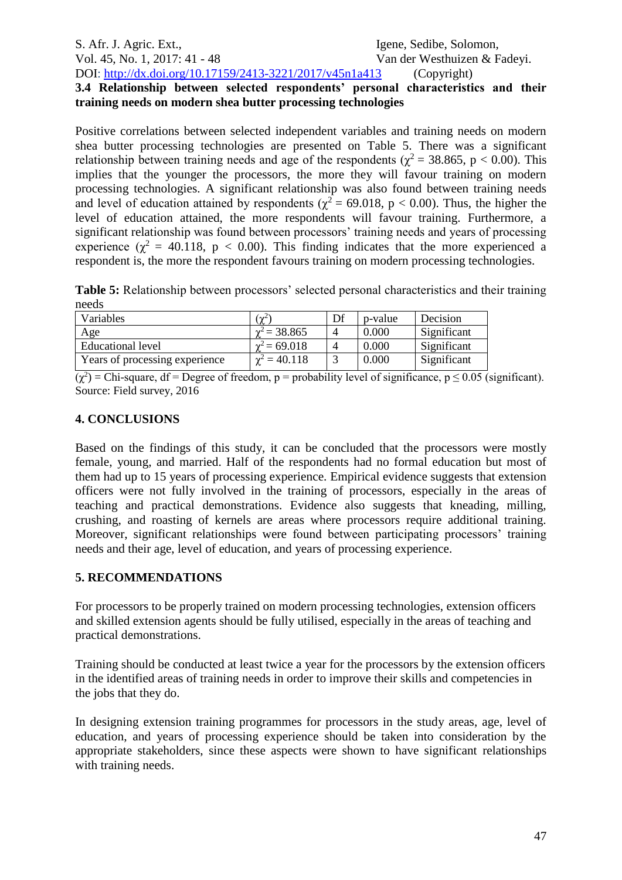#### S. Afr. J. Agric. Ext., Igene, Sedibe, Solomon, Vol. 45, No. 1, 2017: 41 - 48 Van der Westhuizen & Fadeyi. DOI:<http://dx.doi.org/10.17159/2413-3221/2017/v45n1a413> (Copyright) **3.4 Relationship between selected respondents' personal characteristics and their**

# **training needs on modern shea butter processing technologies**

Positive correlations between selected independent variables and training needs on modern shea butter processing technologies are presented on Table 5. There was a significant relationship between training needs and age of the respondents ( $\gamma^2 = 38.865$ , p < 0.00). This implies that the younger the processors, the more they will favour training on modern processing technologies. A significant relationship was also found between training needs and level of education attained by respondents ( $\chi^2$  = 69.018, p < 0.00). Thus, the higher the level of education attained, the more respondents will favour training. Furthermore, a significant relationship was found between processors' training needs and years of processing experience ( $\gamma^2 = 40.118$ , p < 0.00). This finding indicates that the more experienced a respondent is, the more the respondent favours training on modern processing technologies.

**Table 5:** Relationship between processors' selected personal characteristics and their training needs

| Variables                      | $\gamma^2$          | Df | p-value | Decision    |
|--------------------------------|---------------------|----|---------|-------------|
| Age                            | $\gamma^2$ = 38.865 |    | 0.000   | Significant |
| Educational level              | $= 69.018$          |    | 0.000   | Significant |
| Years of processing experience | $\gamma^2 = 40.118$ |    | 0.000   | Significant |

 $(\chi^2)$  = Chi-square, df = Degree of freedom, p = probability level of significance, p  $\leq 0.05$  (significant). Source: Field survey, 2016

#### **4. CONCLUSIONS**

Based on the findings of this study, it can be concluded that the processors were mostly female, young, and married. Half of the respondents had no formal education but most of them had up to 15 years of processing experience. Empirical evidence suggests that extension officers were not fully involved in the training of processors, especially in the areas of teaching and practical demonstrations. Evidence also suggests that kneading, milling, crushing, and roasting of kernels are areas where processors require additional training. Moreover, significant relationships were found between participating processors' training needs and their age, level of education, and years of processing experience.

#### **5. RECOMMENDATIONS**

For processors to be properly trained on modern processing technologies, extension officers and skilled extension agents should be fully utilised, especially in the areas of teaching and practical demonstrations.

Training should be conducted at least twice a year for the processors by the extension officers in the identified areas of training needs in order to improve their skills and competencies in the jobs that they do.

In designing extension training programmes for processors in the study areas, age, level of education, and years of processing experience should be taken into consideration by the appropriate stakeholders, since these aspects were shown to have significant relationships with training needs.